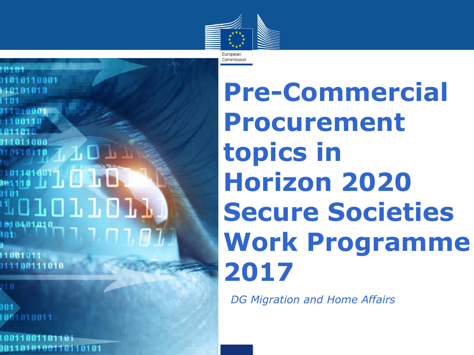

**A** in b TOTOTTOT 81 84 81 81 8 11001011

301

111100111010

9011010100110110101

**Pre-Commercial Procurement topics in Horizon 2020 Secure Societies Work Programme 2017**

•*DG Migration and Home Affairs*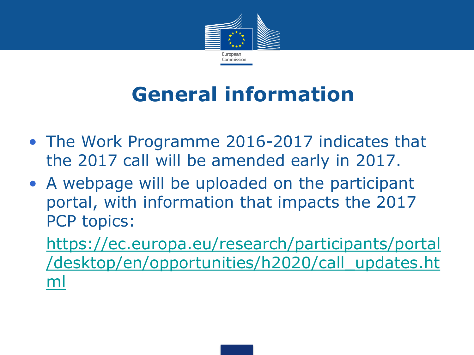

# **General information**

- The Work Programme 2016-2017 indicates that the 2017 call will be amended early in 2017.
- A webpage will be uploaded on the participant portal, with information that impacts the 2017 PCP topics:
	- [https://ec.europa.eu/research/participants/portal](https://ec.europa.eu/research/participants/portal/desktop/en/opportunities/h2020/call_updates.html) [/desktop/en/opportunities/h2020/call\\_updates.ht](https://ec.europa.eu/research/participants/portal/desktop/en/opportunities/h2020/call_updates.html) [ml](https://ec.europa.eu/research/participants/portal/desktop/en/opportunities/h2020/call_updates.html)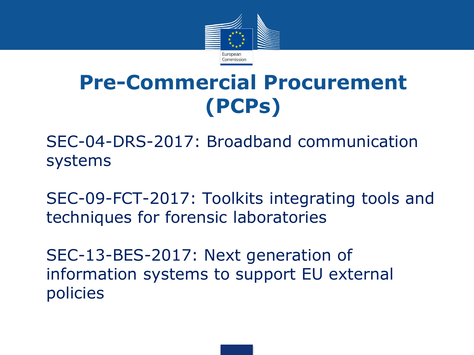

# **Pre-Commercial Procurement (PCPs)**

• SEC-04-DRS-2017: Broadband communication systems

SEC-09-FCT-2017: Toolkits integrating tools and techniques for forensic laboratories

SEC-13-BES-2017: Next generation of information systems to support EU external policies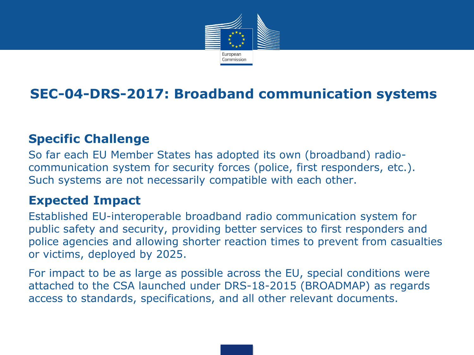

### **SEC-04-DRS-2017: Broadband communication systems**

### **Specific Challenge**

So far each EU Member States has adopted its own (broadband) radiocommunication system for security forces (police, first responders, etc.). Such systems are not necessarily compatible with each other.

### **Expected Impact**

Established EU-interoperable broadband radio communication system for public safety and security, providing better services to first responders and police agencies and allowing shorter reaction times to prevent from casualties or victims, deployed by 2025.

For impact to be as large as possible across the EU, special conditions were attached to the CSA launched under DRS-18-2015 (BROADMAP) as regards access to standards, specifications, and all other relevant documents.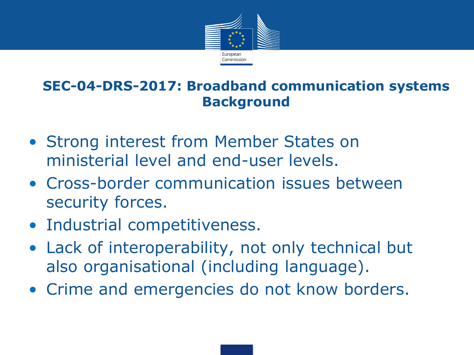

# **SEC-04-DRS-2017: Broadband communication systems Background**

- Strong interest from Member States on ministerial level and end-user levels.
- Cross-border communication issues between security forces.
- Industrial competitiveness.
- Lack of interoperability, not only technical but also organisational (including language).
- Crime and emergencies do not know borders.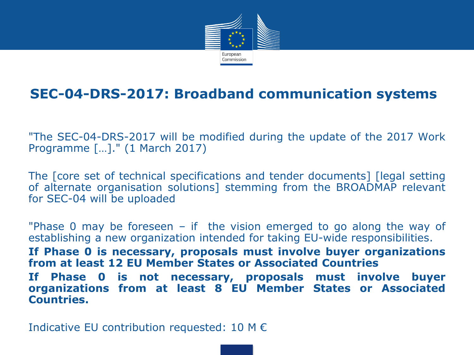

### **SEC-04-DRS-2017: Broadband communication systems**

"The SEC-04-DRS-2017 will be modified during the update of the 2017 Work Programme […]." (1 March 2017)

The [core set of technical specifications and tender documents] [legal setting of alternate organisation solutions] stemming from the BROADMAP relevant for SEC-04 will be uploaded

"Phase 0 may be foreseen – if the vision emerged to go along the way of establishing a new organization intended for taking EU-wide responsibilities. **If Phase 0 is necessary, proposals must involve buyer organizations from at least 12 EU Member States or Associated Countries If Phase 0 is not necessary, proposals must involve buyer organizations from at least 8 EU Member States or Associated Countries.**

Indicative EU contribution requested: 10 M  $\epsilon$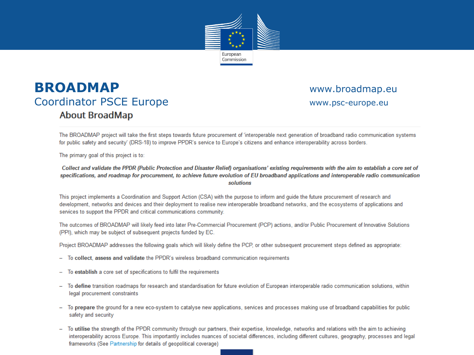

### **BROADMAP WWW.broadmap.eu** Coordinator PSCE Europe **About BroadMap**

www.psc-europe.eu

The BROADMAP project will take the first steps towards future procurement of 'interoperable next generation of broadband radio communication systems for public safety and security' (DRS-18) to improve PPDR's service to Europe's citizens and enhance interoperability across borders.

The primary goal of this project is to:

Collect and validate the PPDR (Public Protection and Disaster Relief) organisations' existing requirements with the aim to establish a core set of specifications, and roadmap for procurement, to achieve future evolution of EU broadband applications and interoperable radio communication solutions

This project implements a Coordination and Support Action (CSA) with the purpose to inform and guide the future procurement of research and development, networks and devices and their deployment to realise new interoperable broadband networks, and the ecosystems of applications and services to support the PPDR and critical communications community.

The outcomes of BROADMAP will likely feed into later Pre-Commercial Procurement (PCP) actions, and/or Public Procurement of Innovative Solutions (PPI), which may be subject of subsequent projects funded by EC.

Project BROADMAP addresses the following goals which will likely define the PCP, or other subsequent procurement steps defined as appropriate:

- To collect, assess and validate the PPDR's wireless broadband communication requirements ÷
- To establish a core set of specifications to fulfil the requirements  $\overline{\phantom{0}}$
- To define transition roadmaps for research and standardisation for future evolution of European interoperable radio communication solutions, within legal procurement constraints
- To prepare the ground for a new eco-system to catalyse new applications, services and processes making use of broadband capabilities for public safety and security
- To utilise the strength of the PPDR community through our partners, their expertise, knowledge, networks and relations with the aim to achieving interoperability across Europe. This importantly includes nuances of societal differences, including different cultures, geography, processes and legal frameworks (See Partnership for details of geopolitical coverage)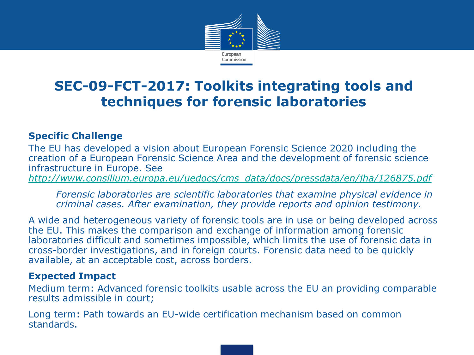

# **SEC-09-FCT-2017: Toolkits integrating tools and techniques for forensic laboratories**

#### **Specific Challenge**

The EU has developed a vision about European Forensic Science 2020 including the creation of a European Forensic Science Area and the development of forensic science infrastructure in Europe. See

*[http://www.consilium.europa.eu/uedocs/cms\\_data/docs/pressdata/en/jha/126875.pdf](http://www.consilium.europa.eu/uedocs/cms_data/docs/pressdata/en/jha/126875.pdf)*

*Forensic laboratories are scientific laboratories that examine physical evidence in criminal cases. After examination, they provide reports and opinion testimony.*

A wide and heterogeneous variety of forensic tools are in use or being developed across the EU. This makes the comparison and exchange of information among forensic laboratories difficult and sometimes impossible, which limits the use of forensic data in cross-border investigations, and in foreign courts. Forensic data need to be quickly available, at an acceptable cost, across borders.

#### **Expected Impact**

Medium term: Advanced forensic toolkits usable across the EU an providing comparable results admissible in court;

Long term: Path towards an EU-wide certification mechanism based on common standards.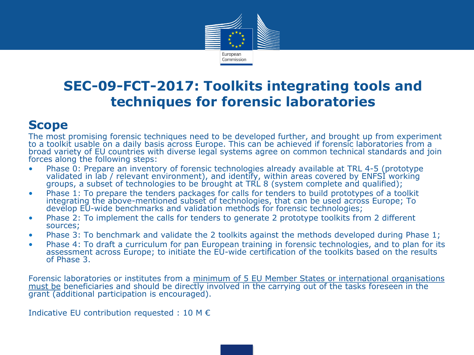

## **SEC-09-FCT-2017: Toolkits integrating tools and techniques for forensic laboratories**

### **Scope**

The most promising forensic techniques need to be developed further, and brought up from experiment to a toolkit usable on a daily basis across Europe. This can be achieved if forensic laboratories from a broad variety of EU countries with diverse legal systems agree on common technical standards and join forces along the following steps:

- Phase 0: Prepare an inventory of forensic technologies already available at TRL 4-5 (prototype validated in lab / relevant environment), and identify, within areas covered by ENFSI working groups, a subset of technologies to be brought at TRL 8 (system complete and qualified);
- Phase 1: To prepare the tenders packages for calls for tenders to build prototypes of a toolkit integrating the above-mentioned subset of technologies, that can be used across Europe; To develop EU-wide benchmarks and validation methods for forensic technologies;
- Phase 2: To implement the calls for tenders to generate 2 prototype toolkits from 2 different sources;
- Phase 3: To benchmark and validate the 2 toolkits against the methods developed during Phase 1;
- Phase 4: To draft a curriculum for pan European training in forensic technologies, and to plan for its assessment across Europe; to initiate the EU-wide certification of the toolkits based on the results of Phase 3.

Forensic laboratories or institutes from a minimum of 5 EU Member States or international organisations must be beneficiaries and should be directly involved in the carrying out of the tasks foreseen in the grant (additional participation is encouraged).

Indicative EU contribution requested : 10 M €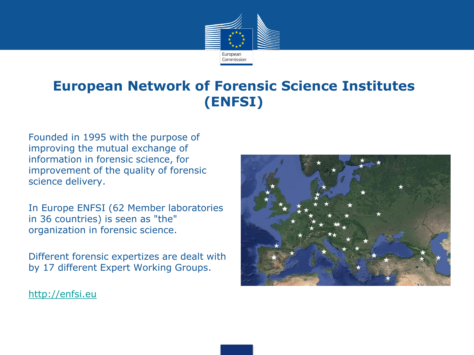

# **European Network of Forensic Science Institutes (ENFSI)**

Founded in 1995 with the purpose of improving the mutual exchange of information in forensic science, for improvement of the quality of forensic science delivery.

In Europe ENFSI (62 Member laboratories in 36 countries) is seen as "the" organization in forensic science.

Different forensic expertizes are dealt with by 17 different Expert Working Groups.



[http://enfsi.eu](http://enfsi.eu/)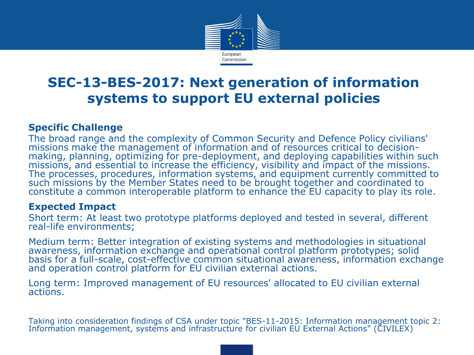

## **SEC-13-BES-2017: Next generation of information systems to support EU external policies**

#### **Specific Challenge**

The broad range and the complexity of Common Security and Defence Policy civilians' missions make the management of information and of resources critical to decisionmaking, planning, optimizing for pre-deployment, and deploying capabilities within such missions, and essential to increase the efficiency, visibility and impact of the missions. The processes, procedures, information systems, and equipment currently committed to such missions by the Member States need to be brought together and coordinated to constitute a common interoperable platform to enhance the EU capacity to play its role.

#### **Expected Impact**

Short term: At least two prototype platforms deployed and tested in several, different real-life environments;

Medium term: Better integration of existing systems and methodologies in situational awareness, information exchange and operational control platform prototypes; solid basis for a full-scale, cost-effective common situational awareness, information exchange and operation control platform for EU civilian external actions.

Long term: Improved management of EU resources' allocated to EU civilian external actions.

Taking into consideration findings of CSA under topic "BES-11-2015: Information management topic 2: Information management, systems and infrastructure for civilian EU External Actions" (CIVILEX)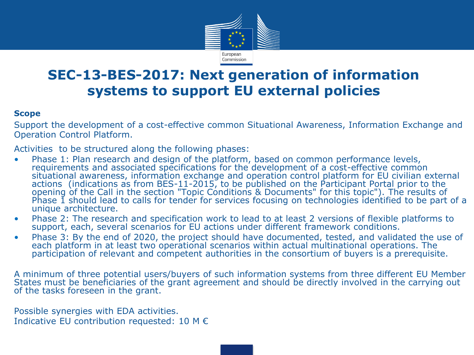

## **SEC-13-BES-2017: Next generation of information systems to support EU external policies**

#### **Scope**

Support the development of a cost-effective common Situational Awareness, Information Exchange and Operation Control Platform.

Activities to be structured along the following phases:

- Phase 1: Plan research and design of the platform, based on common performance levels, requirements and associated specifications for the development of a cost-effective common situational awareness, information exchange and operation control platform for EU civilian external actions (indications as from BES-11-2015, to be published on the Participant Portal prior to the opening of the Call in the section "Topic Conditions & Documents" for this topic"). The results of Phase 1 should lead to calls for tender for services focusing on technologies identified to be part of a unique architecture.
- Phase 2: The research and specification work to lead to at least 2 versions of flexible platforms to support, each, several scenarios for EU actions under different framework conditions.
- Phase 3: By the end of 2020, the project should have documented, tested, and validated the use of each platform in at least two operational scenarios within actual multinational operations. The participation of relevant and competent authorities in the consortium of buyers is a prerequisite.

A minimum of three potential users/buyers of such information systems from three different EU Member States must be beneficiaries of the grant agreement and should be directly involved in the carrying out of the tasks foreseen in the grant.

Possible synergies with EDA activities. Indicative EU contribution requested: 10 M  $\epsilon$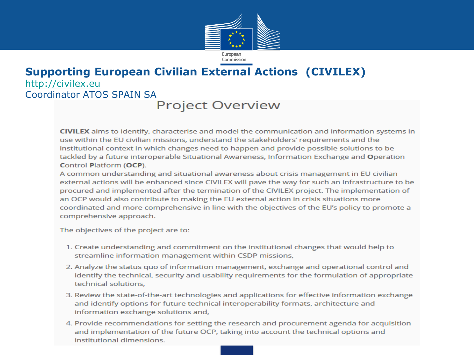

### **Supporting European Civilian External Actions (CIVILEX)**  [http://civilex.eu](http://civilex.eu/) Coordinator ATOS SPAIN SA

### **Project Overview**

CIVILEX aims to identify, characterise and model the communication and information systems in use within the EU civilian missions, understand the stakeholders' requirements and the institutional context in which changes need to happen and provide possible solutions to be tackled by a future interoperable Situational Awareness, Information Exchange and Operation **Control Platform (OCP).** 

A common understanding and situational awareness about crisis management in EU civilian external actions will be enhanced since CIVILEX will pave the way for such an infrastructure to be procured and implemented after the termination of the CIVILEX project. The implementation of an OCP would also contribute to making the EU external action in crisis situations more coordinated and more comprehensive in line with the objectives of the EU's policy to promote a comprehensive approach.

The objectives of the project are to:

- 1. Create understanding and commitment on the institutional changes that would help to streamline information management within CSDP missions,
- 2. Analyze the status quo of information management, exchange and operational control and identify the technical, security and usability requirements for the formulation of appropriate technical solutions.
- 3. Review the state-of-the-art technologies and applications for effective information exchange and identify options for future technical interoperability formats, architecture and information exchange solutions and,
- 4. Provide recommendations for setting the research and procurement agenda for acquisition and implementation of the future OCP, taking into account the technical options and institutional dimensions.